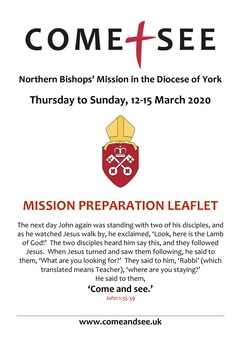# COMETSEE

# **Northern Bishops' Mission in the Diocese of York**

**Thursday to Sunday, 12-15 March 2020**



# **MISSION PREPARATION LEAFLET**

The next day John again was standing with two of his disciples, and as he watched Jesus walk by, he exclaimed, 'Look, here is the Lamb of God!' The two disciples heard him say this, and they followed Jesus. When Jesus turned and saw them following, he said to them, 'What are you looking for?' They said to him, 'Rabbi' (which translated means Teacher), 'where are you staying?' He said to them,

# **'Come and see.'**

John 1:35-39

**www.comeandsee.uk**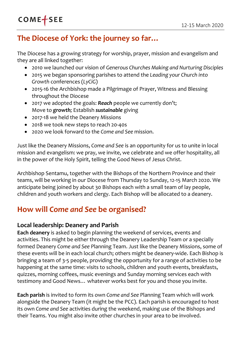# **The Diocese of York: the journey so far…**

The Diocese has a growing strategy for worship, prayer, mission and evangelism and they are all linked together:

- 2010 we launched our vision of *Generous Churches Making and Nurturing Disciples*
- 2015 we began sponsoring parishes to attend the *Leading your Church into Growth* conferences (*LyCiG*)
- 2015-16 the Archbishop made a Pilgrimage of Prayer, Witness and Blessing throughout the Diocese
- 2017 we adopted the goals: *Reach* people we currently don't; Move to *growth;* Establish *sustainable* giving
- 2017-18 we held the Deanery Missions
- 2018 we took new steps to reach 20-40s
- 2020 we look forward to the *Come and See* mission.

Just like the Deanery Missions, *Come and See* is an opportunity for us to unite in local mission and evangelism: we pray, we invite, we celebrate and we offer hospitality, all in the power of the Holy Spirit, telling the Good News of Jesus Christ.

Archbishop Sentamu, together with the Bishops of the Northern Province and their teams, will be working in our Diocese from Thursday to Sunday, 12-15 March 2020. We anticipate being joined by about 30 Bishops each with a small team of lay people, children and youth workers and clergy. Each Bishop will be allocated to a deanery.

## **How will** *Come and See* **be organised?**

#### **Local leadership: Deanery and Parish**

**Each deanery** is asked to begin planning the weekend of services, events and activities. This might be either through the Deanery Leadership Team or a specially formed Deanery *Come and See* Planning Team. Just like the Deanery Missions, some of these events will be in each local church; others might be deanery-wide. Each Bishop is bringing a team of 3-5 people, providing the opportunity for a range of activities to be happening at the same time: visits to schools, children and youth events, breakfasts, quizzes, morning coffees, music evenings and Sunday morning services each with testimony and Good News… whatever works best for you and those you invite.

**Each parish** is invited to form its own *Come and See* Planning Team which will work alongside the Deanery Team (it might be the PCC). Each parish is encouraged to host its own *Come and See* activities during the weekend, making use of the Bishops and their Teams. You might also invite other churches in your area to be involved.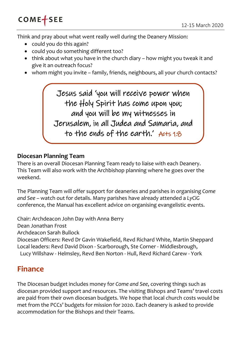Think and pray about what went really well during the Deanery Mission:

- could you do this again?
- could you do something different too?
- $\bullet$  think about what you have in the church diary how might you tweak it and give it an outreach focus?
- whom might you invite family, friends, neighbours, all your church contacts?

Jesus said 'you will receive power when the Holy Spirit has come upon you; and you will be my witnesses in Jerusalem, in all Judea and Samaria, and to the ends of the earth.' Acts 1:8

#### **Diocesan Planning Team**

There is an overall Diocesan Planning Team ready to liaise with each Deanery. This Team will also work with the Archbishop planning where he goes over the weekend.

The Planning Team will offer support for deaneries and parishes in organising *Come and See* – watch out for details. Many parishes have already attended a *LyCiG* conference, the Manual has excellent advice on organising evangelistic events.

Chair: Archdeacon John Day with Anna Berry Dean Jonathan Frost Archdeacon Sarah Bullock Diocesan Officers: Revd Dr Gavin Wakefield, Revd Richard White, Martin Sheppard Local leaders: Revd David Dixon - Scarborough, Ste Corner - Middlesbrough, Lucy Willshaw - Helmsley, Revd Ben Norton - Hull, Revd Richard Carew - York

## **Finance**

The Diocesan budget includes money for *Come and See*, covering things such as diocesan provided support and resources. The visiting Bishops and Teams' travel costs are paid from their own diocesan budgets. We hope that local church costs would be met from the PCCs' budgets for mission for 2020. Each deanery is asked to provide accommodation for the Bishops and their Teams.